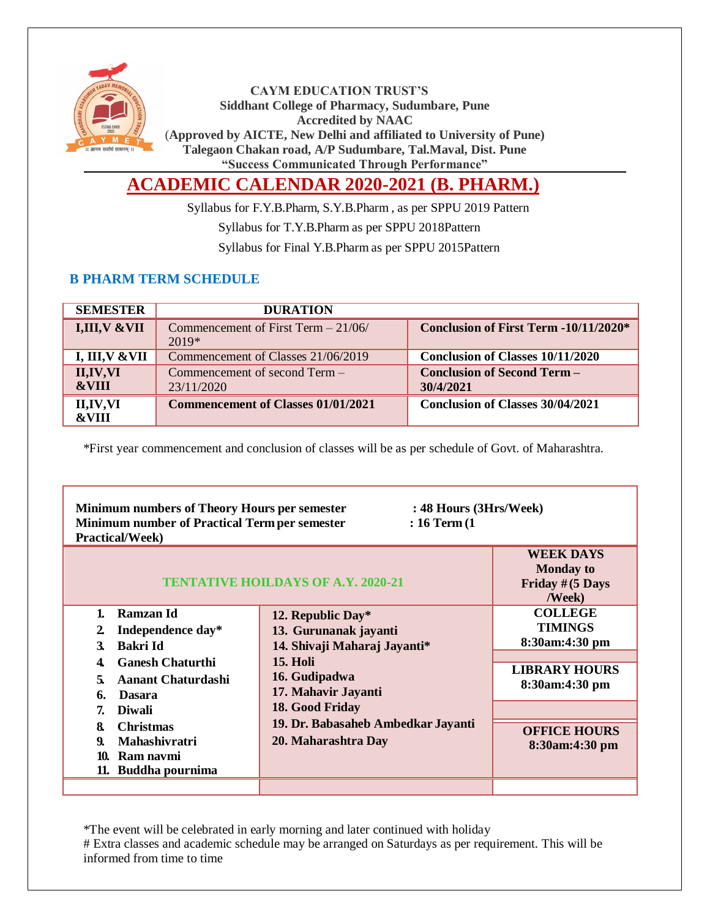

**CAYM EDUCATION TRUST'S Siddhant College of Pharmacy, Sudumbare, Pune Accredited by NAAC** (**Approved by AICTE, New Delhi and affiliated to University of Pune) Talegaon Chakan road, A/P Sudumbare, Tal.Maval, Dist. Pune "Success Communicated Through Performance"**

# **ACADEMIC CALENDAR 2020-2021 (B. PHARM.)**

Syllabus for F.Y.B.Pharm, S.Y.B.Pharm , as per SPPU 2019 Pattern

Syllabus for T.Y.B.Pharm as per SPPU 2018Pattern

Syllabus for Final Y.B.Pharm as per SPPU 2015Pattern

### **B PHARM TERM SCHEDULE**

| <b>SEMESTER</b>                | <b>DURATION</b>                                 |                                                 |
|--------------------------------|-------------------------------------------------|-------------------------------------------------|
| I,III, V & VII                 | Commencement of First Term $-21/06/$<br>$2019*$ | <b>Conclusion of First Term -10/11/2020*</b>    |
| I, III, V & VII                | Commencement of Classes 21/06/2019              | <b>Conclusion of Classes 10/11/2020</b>         |
| II, IV, VI<br><b>&amp;VIII</b> | Commencement of second Term –<br>23/11/2020     | <b>Conclusion of Second Term -</b><br>30/4/2021 |
| II,IV,VI<br><b>&amp;VIII</b>   | <b>Commencement of Classes 01/01/2021</b>       | <b>Conclusion of Classes 30/04/2021</b>         |

\*First year commencement and conclusion of classes will be as per schedule of Govt. of Maharashtra.

| <b>Minimum numbers of Theory Hours per semester</b><br>: 48 Hours (3Hrs/Week)<br><b>Minimum number of Practical Term per semester</b><br>$: 16$ Term $(1)$<br><b>Practical/Week)</b> |                                           |                                                                                     |  |
|--------------------------------------------------------------------------------------------------------------------------------------------------------------------------------------|-------------------------------------------|-------------------------------------------------------------------------------------|--|
|                                                                                                                                                                                      | <b>TENTATIVE HOILDAYS OF A.Y. 2020-21</b> | <b>WEEK DAYS</b><br><b>Monday to</b><br>Friday $#(5 \text{ Days})$<br><b>/Week)</b> |  |
| Ramzan Id<br>1.                                                                                                                                                                      | 12. Republic Day $*$                      | <b>COLLEGE</b>                                                                      |  |
| Independence day*<br>2                                                                                                                                                               | 13. Gurunanak jayanti                     | <b>TIMINGS</b>                                                                      |  |
| Bakri Id<br>3.                                                                                                                                                                       | 14. Shivaji Maharaj Jayanti*              | 8:30am:4:30 pm                                                                      |  |
| <b>Ganesh Chaturthi</b><br>4                                                                                                                                                         | <b>15. Holi</b>                           |                                                                                     |  |
| <b>Aanant Chaturdashi</b><br>5.                                                                                                                                                      | 16. Gudipadwa                             | <b>LIBRARY HOURS</b>                                                                |  |
| <b>Dasara</b><br>6.                                                                                                                                                                  | 17. Mahavir Jayanti                       | 8:30am:4:30 pm                                                                      |  |
| <b>Diwali</b><br>7.                                                                                                                                                                  | 18. Good Friday                           |                                                                                     |  |
| <b>Christmas</b><br>8.                                                                                                                                                               | 19. Dr. Babasaheb Ambedkar Jayanti        | <b>OFFICE HOURS</b>                                                                 |  |
| <b>Mahashivratri</b><br>9.                                                                                                                                                           | 20. Maharashtra Day                       | 8:30am:4:30 pm                                                                      |  |
| Ram navmi<br>10.                                                                                                                                                                     |                                           |                                                                                     |  |
| 11. Buddha pournima                                                                                                                                                                  |                                           |                                                                                     |  |
|                                                                                                                                                                                      |                                           |                                                                                     |  |

\*The event will be celebrated in early morning and later continued with holiday # Extra classes and academic schedule may be arranged on Saturdays as per requirement. This will be informed from time to time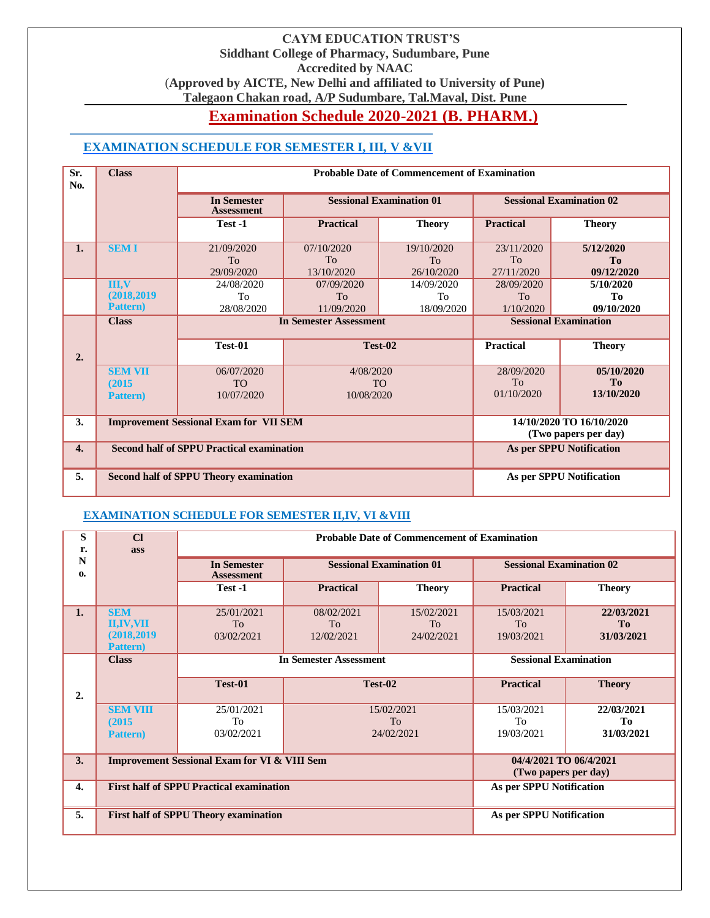#### **CAYM EDUCATION TRUST'S Siddhant College of Pharmacy, Sudumbare, Pune Accredited by NAAC** (**Approved by AICTE, New Delhi and affiliated to University of Pune) Talegaon Chakan road, A/P Sudumbare, Tal.Maval, Dist. Pune**

# **Examination Schedule 2020-2021 (B. PHARM.)**

## **EXAMINATION SCHEDULE FOR SEMESTER I, III, V &VII**

| Sr.<br>No.       | <b>Class</b>     | <b>Probable Date of Commencement of Examination</b> |                                 |               |                                 |                                                  |
|------------------|------------------|-----------------------------------------------------|---------------------------------|---------------|---------------------------------|--------------------------------------------------|
|                  |                  | <b>In Semester</b><br><b>Assessment</b>             | <b>Sessional Examination 01</b> |               | <b>Sessional Examination 02</b> |                                                  |
|                  |                  | Test -1                                             | <b>Practical</b>                | <b>Theory</b> | <b>Practical</b>                | <b>Theory</b>                                    |
| 1.               | <b>SEMI</b>      | 21/09/2020                                          | 07/10/2020                      | 19/10/2020    | 23/11/2020                      | 5/12/2020                                        |
|                  |                  | <b>To</b>                                           | <b>To</b>                       | <b>To</b>     | To                              | To                                               |
|                  |                  | 29/09/2020                                          | 13/10/2020                      | 26/10/2020    | 27/11/2020                      | 09/12/2020                                       |
|                  | III, V           | 24/08/2020                                          | 07/09/2020                      | 14/09/2020    | 28/09/2020                      | 5/10/2020                                        |
|                  | (2018, 2019)     | To                                                  | <b>To</b>                       | To            | T <sub>o</sub>                  | Tо                                               |
|                  | <b>Pattern</b> ) | 28/08/2020                                          | 11/09/2020                      | 18/09/2020    | 1/10/2020                       | 09/10/2020                                       |
|                  | <b>Class</b>     | <b>In Semester Assessment</b>                       |                                 |               | <b>Sessional Examination</b>    |                                                  |
| 2.               |                  | Test-01                                             | Test-02                         |               | <b>Practical</b>                | <b>Theory</b>                                    |
|                  | <b>SEM VII</b>   | 06/07/2020                                          | 4/08/2020                       |               | 28/09/2020                      | 05/10/2020                                       |
|                  | (2015)           | <b>TO</b>                                           |                                 | <b>TO</b>     | To                              | T <sub>0</sub>                                   |
|                  | <b>Pattern</b> ) | 10/07/2020                                          | 10/08/2020                      |               | 01/10/2020                      | 13/10/2020                                       |
| 3.               |                  | <b>Improvement Sessional Exam for VII SEM</b>       |                                 |               |                                 | 14/10/2020 TO 16/10/2020<br>(Two papers per day) |
| $\overline{4}$ . |                  | <b>Second half of SPPU Practical examination</b>    |                                 |               |                                 | <b>As per SPPU Notification</b>                  |
| 5.               |                  | <b>Second half of SPPU Theory examination</b>       |                                 |               |                                 | As per SPPU Notification                         |

#### **EXAMINATION SCHEDULE FOR SEMESTER II,IV, VI &VIII**

| S<br>r.           | $CI$<br>ass                                                        |                                                         | <b>Probable Date of Commencement of Examination</b>                               |                                            |                                                |                                            |
|-------------------|--------------------------------------------------------------------|---------------------------------------------------------|-----------------------------------------------------------------------------------|--------------------------------------------|------------------------------------------------|--------------------------------------------|
| N<br>$\mathbf{0}$ |                                                                    | <b>In Semester</b><br><b>Assessment</b>                 | <b>Sessional Examination 01</b>                                                   |                                            | <b>Sessional Examination 02</b>                |                                            |
|                   |                                                                    | Test -1                                                 | <b>Practical</b>                                                                  | <b>Theory</b>                              | <b>Practical</b>                               | <b>Theory</b>                              |
| 1.                | <b>SEM</b><br><b>II,IV,VII</b><br>(2018, 2019)<br><b>Pattern</b> ) | 25/01/2021<br>T <sub>0</sub><br>03/02/2021              | 08/02/2021<br>To<br>12/02/2021                                                    | 15/02/2021<br>T <sub>0</sub><br>24/02/2021 | 15/03/2021<br>To<br>19/03/2021                 | 22/03/2021<br>T <sub>0</sub><br>31/03/2021 |
|                   | <b>Class</b>                                                       |                                                         | <b>In Semester Assessment</b><br>Test-02<br>15/02/2021<br><b>To</b><br>24/02/2021 |                                            | <b>Sessional Examination</b>                   |                                            |
| 2.                |                                                                    | Test-01                                                 |                                                                                   |                                            | <b>Practical</b>                               | <b>Theory</b>                              |
|                   | <b>SEM VIII</b><br>(2015)                                          | 25/01/2021<br>To                                        |                                                                                   |                                            | 15/03/2021<br>To                               | 22/03/2021<br>Tо                           |
|                   | <b>Pattern</b> )                                                   | 03/02/2021                                              |                                                                                   |                                            | 19/03/2021                                     | 31/03/2021                                 |
| 3.                |                                                                    | <b>Improvement Sessional Exam for VI &amp; VIII Sem</b> |                                                                                   |                                            | 04/4/2021 TO 06/4/2021<br>(Two papers per day) |                                            |
| $\overline{4}$ .  |                                                                    | <b>First half of SPPU Practical examination</b>         |                                                                                   |                                            | As per SPPU Notification                       |                                            |
| 5.                |                                                                    | <b>First half of SPPU Theory examination</b>            |                                                                                   |                                            | As per SPPU Notification                       |                                            |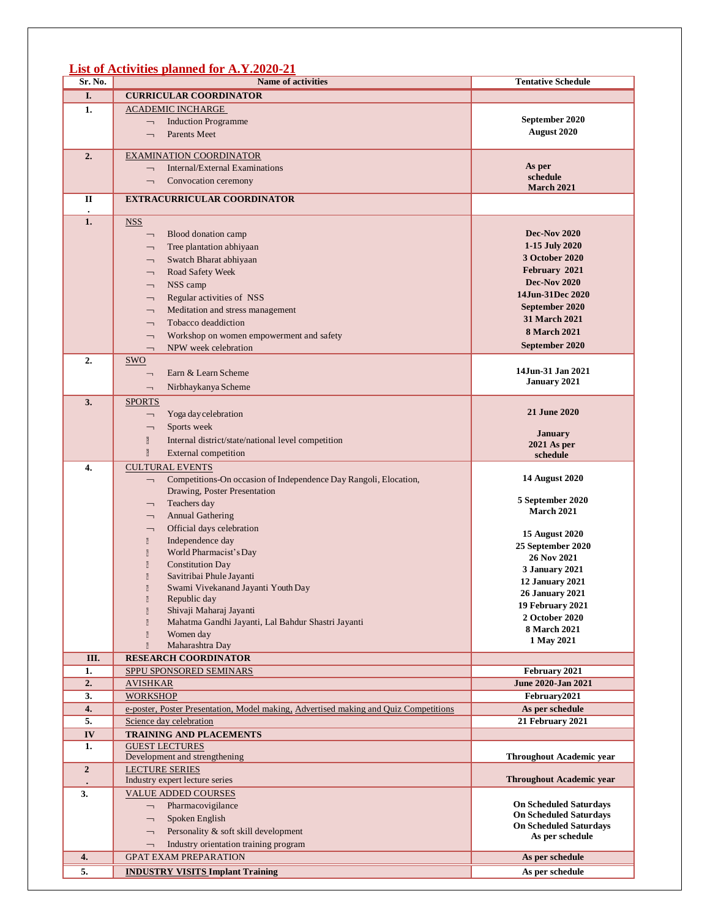#### **List of Activities planned for A.Y.2020-21**

| Sr. No.          | <b>Name of activities</b>                                                            | <b>Tentative Schedule</b>         |
|------------------|--------------------------------------------------------------------------------------|-----------------------------------|
| I.               | <b>CURRICULAR COORDINATOR</b>                                                        |                                   |
| 1.               | <u>ACADEMIC INCHARGE</u>                                                             |                                   |
|                  | <b>Induction Programme</b><br>$\overline{\phantom{0}}$                               | September 2020                    |
|                  | Parents Meet<br>$\overline{\phantom{0}}$                                             | August 2020                       |
|                  |                                                                                      |                                   |
| 2.               | <b>EXAMINATION COORDINATOR</b>                                                       |                                   |
|                  | Internal/External Examinations<br>$\overline{\phantom{0}}$                           | As per                            |
|                  | Convocation ceremony<br>$\overline{\phantom{0}}$                                     | schedule<br><b>March 2021</b>     |
| П                | <b>EXTRACURRICULAR COORDINATOR</b>                                                   |                                   |
|                  |                                                                                      |                                   |
| 1.               | <b>NSS</b>                                                                           |                                   |
|                  | Blood donation camp<br>$\overline{\phantom{0}}$                                      | <b>Dec-Nov 2020</b>               |
|                  | Tree plantation abhiyaan<br>$\overline{\phantom{0}}$                                 | 1-15 July 2020                    |
|                  | Swatch Bharat abhiyaan<br>T,                                                         | 3 October 2020                    |
|                  | Road Safety Week<br>$\overline{\phantom{0}}$                                         | February 2021                     |
|                  | NSS camp<br>$\overline{\phantom{0}}$                                                 | <b>Dec-Nov 2020</b>               |
|                  | Regular activities of NSS<br><b>—</b>                                                | 14Jun-31Dec 2020                  |
|                  | Meditation and stress management<br>$\overline{\phantom{0}}$                         | September 2020                    |
|                  | Tobacco deaddiction<br>$\overline{\phantom{0}}$                                      | <b>31 March 2021</b>              |
|                  | Workshop on women empowerment and safety<br>$\overline{\phantom{0}}$                 | <b>8 March 2021</b>               |
|                  | NPW week celebration<br>$\overline{\phantom{0}}$                                     | September 2020                    |
| 2.               | <b>SWO</b>                                                                           |                                   |
|                  | Earn & Learn Scheme<br>$\overline{\phantom{0}}$                                      | 14Jun-31 Jan 2021                 |
|                  | Nirbhaykanya Scheme                                                                  | January 2021                      |
| 3.               | SPORTS                                                                               |                                   |
|                  | Yoga day celebration<br>$\overline{\phantom{0}}$                                     | 21 June 2020                      |
|                  | Sports week                                                                          |                                   |
|                  | $\overline{\phantom{0}}$                                                             | <b>January</b>                    |
|                  | $\overline{\phantom{a}}$<br>Internal district/state/national level competition       | $2021$ As per                     |
|                  | $\overline{\mathbf{B}}$<br><b>External competition</b>                               | schedule                          |
| 4.               | <b>CULTURAL EVENTS</b>                                                               |                                   |
|                  | Competitions-On occasion of Independence Day Rangoli, Elocation,<br>L,               | <b>14 August 2020</b>             |
|                  | Drawing, Poster Presentation                                                         | 5 September 2020                  |
|                  | Teachers day<br>⇁                                                                    | <b>March 2021</b>                 |
|                  | <b>Annual Gathering</b><br>$\overline{\phantom{0}}$                                  |                                   |
|                  | Official days celebration<br>$\overline{\phantom{0}}$                                | <b>15 August 2020</b>             |
|                  | Independence day<br>₿<br>World Pharmacist's Day<br>$\overline{\mathbb{S}}$           | 25 September 2020                 |
|                  | $\overline{\mathbb{S}}$<br><b>Constitution Day</b>                                   | 26 Nov 2021                       |
|                  | $\overline{\underline{0}}$<br>Savitribai Phule Jayanti                               | <b>3 January 2021</b>             |
|                  | $\overline{a}$<br>Swami Vivekanand Jayanti Youth Day                                 | 12 January 2021                   |
|                  | Republic day<br>$\overline{2}$                                                       | <b>26 January 2021</b>            |
|                  | Shivaji Maharaj Jayanti<br>$\begin{bmatrix} 1 \\ 2 \end{bmatrix}$                    | 19 February 2021                  |
|                  | Mahatma Gandhi Jayanti, Lal Bahdur Shastri Jayanti<br>Ø                              | 2 October 2020                    |
|                  | $\overline{\underline{0}}$<br>Women day                                              | <b>8 March 2021</b><br>1 May 2021 |
|                  | Maharashtra Day<br>Ø                                                                 |                                   |
| III.             | <b>RESEARCH COORDINATOR</b>                                                          |                                   |
| 1.               | SPPU SPONSORED SEMINARS                                                              | February 2021                     |
| 2.               | <b>AVISHKAR</b>                                                                      | <b>June 2020-Jan 2021</b>         |
| 3.               | <b>WORKSHOP</b>                                                                      | February2021                      |
| 4.               | e-poster, Poster Presentation, Model making, Advertised making and Quiz Competitions | As per schedule                   |
| 5.               | Science day celebration                                                              | 21 February 2021                  |
| IV               | <b>TRAINING AND PLACEMENTS</b>                                                       |                                   |
| 1.               | <b>GUEST LECTURES</b><br>Development and strengthening                               | <b>Throughout Academic year</b>   |
| $\boldsymbol{2}$ | <b>LECTURE SERIES</b>                                                                |                                   |
|                  | Industry expert lecture series                                                       | <b>Throughout Academic year</b>   |
| 3.               | <b>VALUE ADDED COURSES</b>                                                           |                                   |
|                  | Pharmacovigilance<br>$\overline{\phantom{0}}$                                        | <b>On Scheduled Saturdays</b>     |
|                  | Spoken English<br>$\overline{\phantom{0}}$                                           | <b>On Scheduled Saturdays</b>     |
|                  | Personality & soft skill development<br>$\overline{\phantom{0}}$                     | <b>On Scheduled Saturdays</b>     |
|                  | Industry orientation training program<br>$\overline{\phantom{0}}$                    | As per schedule                   |
| 4.               | <b>GPAT EXAM PREPARATION</b>                                                         | As per schedule                   |
| $\overline{5}$ . | <b>INDUSTRY VISITS Implant Training</b>                                              | As per schedule                   |
|                  |                                                                                      |                                   |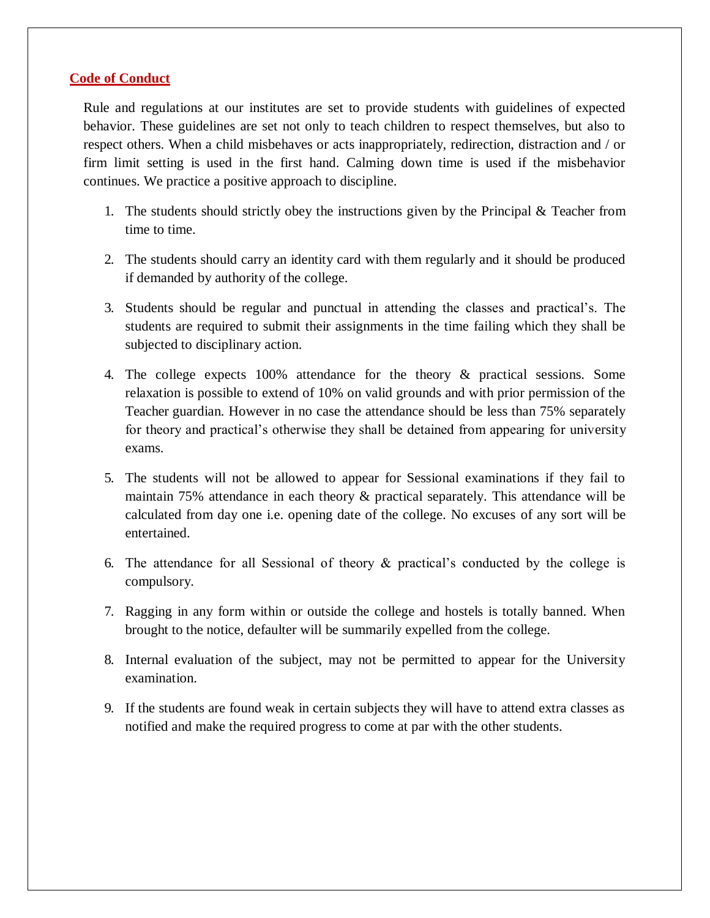#### **Code of Conduct**

Rule and regulations at our institutes are set to provide students with guidelines of expected behavior. These guidelines are set not only to teach children to respect themselves, but also to respect others. When a child misbehaves or acts inappropriately, redirection, distraction and / or firm limit setting is used in the first hand. Calming down time is used if the misbehavior continues. We practice a positive approach to discipline.

- 1. The students should strictly obey the instructions given by the Principal  $\&$  Teacher from time to time.
- 2. The students should carry an identity card with them regularly and it should be produced if demanded by authority of the college.
- 3. Students should be regular and punctual in attending the classes and practical's. The students are required to submit their assignments in the time failing which they shall be subjected to disciplinary action.
- 4. The college expects 100% attendance for the theory & practical sessions. Some relaxation is possible to extend of 10% on valid grounds and with prior permission of the Teacher guardian. However in no case the attendance should be less than 75% separately for theory and practical's otherwise they shall be detained from appearing for university exams.
- 5. The students will not be allowed to appear for Sessional examinations if they fail to maintain 75% attendance in each theory & practical separately. This attendance will be calculated from day one i.e. opening date of the college. No excuses of any sort will be entertained.
- 6. The attendance for all Sessional of theory & practical's conducted by the college is compulsory.
- 7. Ragging in any form within or outside the college and hostels is totally banned. When brought to the notice, defaulter will be summarily expelled from the college.
- 8. Internal evaluation of the subject, may not be permitted to appear for the University examination.
- 9. If the students are found weak in certain subjects they will have to attend extra classes as notified and make the required progress to come at par with the other students.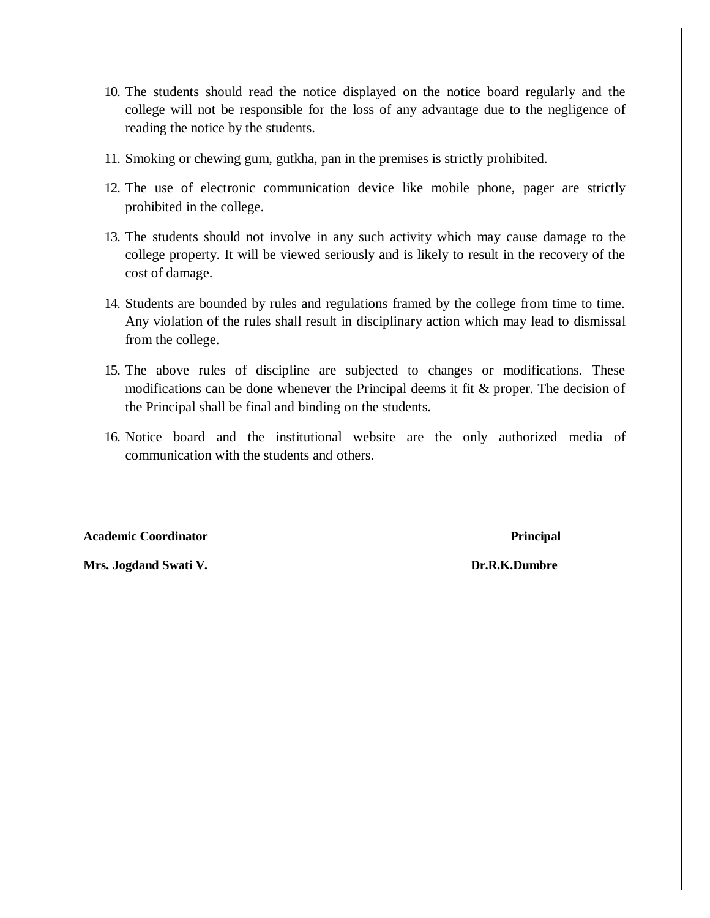- 10. The students should read the notice displayed on the notice board regularly and the college will not be responsible for the loss of any advantage due to the negligence of reading the notice by the students.
- 11. Smoking or chewing gum, gutkha, pan in the premises is strictly prohibited.
- 12. The use of electronic communication device like mobile phone, pager are strictly prohibited in the college.
- 13. The students should not involve in any such activity which may cause damage to the college property. It will be viewed seriously and is likely to result in the recovery of the cost of damage.
- 14. Students are bounded by rules and regulations framed by the college from time to time. Any violation of the rules shall result in disciplinary action which may lead to dismissal from the college.
- 15. The above rules of discipline are subjected to changes or modifications. These modifications can be done whenever the Principal deems it fit  $\&$  proper. The decision of the Principal shall be final and binding on the students.
- 16. Notice board and the institutional website are the only authorized media of communication with the students and others.

**Academic Coordinator Principal**

**Mrs. Jogdand Swati V. Dr.R.K.Dumbre**